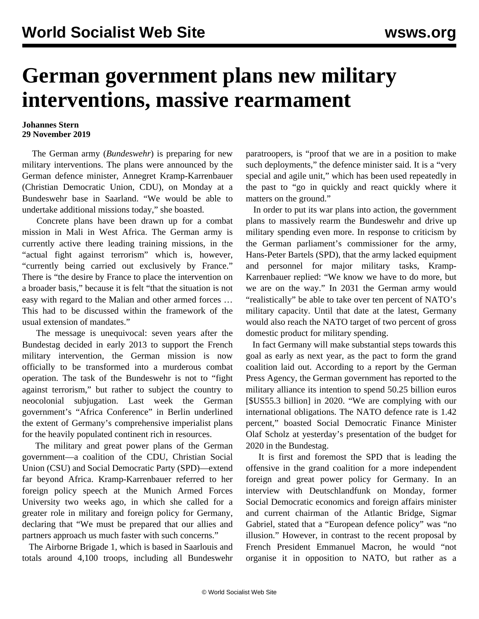## **German government plans new military interventions, massive rearmament**

## **Johannes Stern 29 November 2019**

 The German army (*Bundeswehr*) is preparing for new military interventions. The plans were announced by the German defence minister, Annegret Kramp-Karrenbauer (Christian Democratic Union, CDU), on Monday at a Bundeswehr base in Saarland. "We would be able to undertake additional missions today," she boasted.

 Concrete plans have been drawn up for a combat mission in Mali in West Africa. The German army is currently active there leading training missions, in the "actual fight against terrorism" which is, however, "currently being carried out exclusively by France." There is "the desire by France to place the intervention on a broader basis," because it is felt "that the situation is not easy with regard to the Malian and other armed forces … This had to be discussed within the framework of the usual extension of mandates."

 The message is unequivocal: seven years after the Bundestag [decided](/en/articles/2013/03/04/mali-m04.html) in early 2013 to support the French military intervention, the German mission is now officially to be transformed into a murderous combat operation. The task of the Bundeswehr is not to "fight against terrorism," but rather to subject the country to neocolonial subjugation. Last week the German government's ["Africa Conference"](/en/articles/2019/11/22/afri-n22.html) in Berlin underlined the extent of Germany's comprehensive imperialist plans for the heavily populated continent rich in resources.

 The military and great power plans of the German government—a coalition of the CDU, Christian Social Union (CSU) and Social Democratic Party (SPD)—extend far beyond Africa. Kramp-Karrenbauer referred to her [foreign policy speech](/en/articles/2019/11/11/kram-n11.html) at the Munich Armed Forces University two weeks ago, in which she called for a greater role in military and foreign policy for Germany, declaring that "We must be prepared that our allies and partners approach us much faster with such concerns."

 The Airborne Brigade 1, which is based in Saarlouis and totals around 4,100 troops, including all Bundeswehr paratroopers, is "proof that we are in a position to make such deployments," the defence minister said. It is a "very special and agile unit," which has been used repeatedly in the past to "go in quickly and react quickly where it matters on the ground."

 In order to put its war plans into action, the government plans to massively rearm the Bundeswehr and drive up military spending even more. In response to criticism by the German parliament's commissioner for the army, Hans-Peter Bartels (SPD), that the army lacked equipment and personnel for major military tasks, Kramp-Karrenbauer replied: "We know we have to do more, but we are on the way." In 2031 the German army would "realistically" be able to take over ten percent of NATO's military capacity. Until that date at the latest, Germany would also reach the NATO target of two percent of gross domestic product for military spending.

 In fact Germany will make substantial steps towards this goal as early as next year, as the pact to form the grand coalition laid out. According to a report by the German Press Agency, the German government has reported to the military alliance its intention to spend 50.25 billion euros [\$US55.3 billion] in 2020. "We are complying with our international obligations. The NATO defence rate is 1.42 percent," boasted Social Democratic Finance Minister Olaf Scholz at yesterday's presentation of the budget for 2020 in the Bundestag.

 It is first and foremost the SPD that is leading the offensive in the grand coalition for a more independent foreign and great power policy for Germany. In an interview with Deutschlandfunk on Monday, former Social Democratic economics and foreign affairs minister and current chairman of the Atlantic Bridge, Sigmar Gabriel, stated that a "European defence policy" was "no illusion." However, in contrast to the recent proposal by French President Emmanuel Macron, he would "not organise it in opposition to NATO, but rather as a